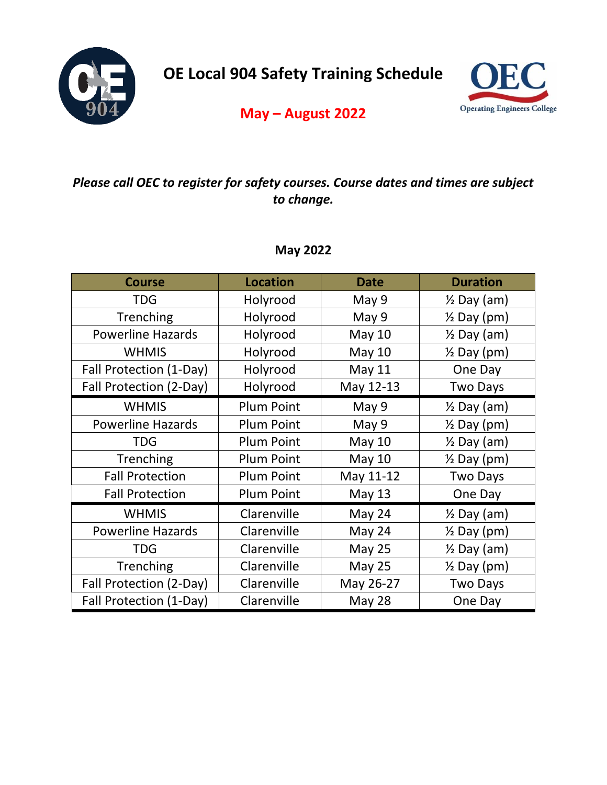

**OE Local 904 Safety Training Schedule** 



# **May – August 2022**

## *Please call OEC to register for safety courses. Course dates and times are subject to change.*

### **May 2022**

| <b>Course</b>            | <b>Location</b>   | <b>Date</b>   | <b>Duration</b>        |
|--------------------------|-------------------|---------------|------------------------|
| <b>TDG</b>               | Holyrood          | May 9         | $\frac{1}{2}$ Day (am) |
| Trenching                | Holyrood          | May 9         | $\frac{1}{2}$ Day (pm) |
| <b>Powerline Hazards</b> | Holyrood          | <b>May 10</b> | $\frac{1}{2}$ Day (am) |
| <b>WHMIS</b>             | Holyrood          | <b>May 10</b> | $\frac{1}{2}$ Day (pm) |
| Fall Protection (1-Day)  | Holyrood          | <b>May 11</b> | One Day                |
| Fall Protection (2-Day)  | Holyrood          | May 12-13     | <b>Two Days</b>        |
| <b>WHMIS</b>             | <b>Plum Point</b> | May 9         | $\frac{1}{2}$ Day (am) |
| <b>Powerline Hazards</b> | <b>Plum Point</b> | May 9         | $\frac{1}{2}$ Day (pm) |
| <b>TDG</b>               | <b>Plum Point</b> | <b>May 10</b> | $\frac{1}{2}$ Day (am) |
| Trenching                | <b>Plum Point</b> | <b>May 10</b> | $\frac{1}{2}$ Day (pm) |
| <b>Fall Protection</b>   | <b>Plum Point</b> | May 11-12     | <b>Two Days</b>        |
| <b>Fall Protection</b>   | <b>Plum Point</b> | <b>May 13</b> | One Day                |
| <b>WHMIS</b>             | Clarenville       | May 24        | $\frac{1}{2}$ Day (am) |
| <b>Powerline Hazards</b> | Clarenville       | May 24        | $\frac{1}{2}$ Day (pm) |
| <b>TDG</b>               | Clarenville       | <b>May 25</b> | $\frac{1}{2}$ Day (am) |
| Trenching                | Clarenville       | <b>May 25</b> | $\frac{1}{2}$ Day (pm) |
| Fall Protection (2-Day)  | Clarenville       | May 26-27     | <b>Two Days</b>        |
| Fall Protection (1-Day)  | Clarenville       | <b>May 28</b> | One Day                |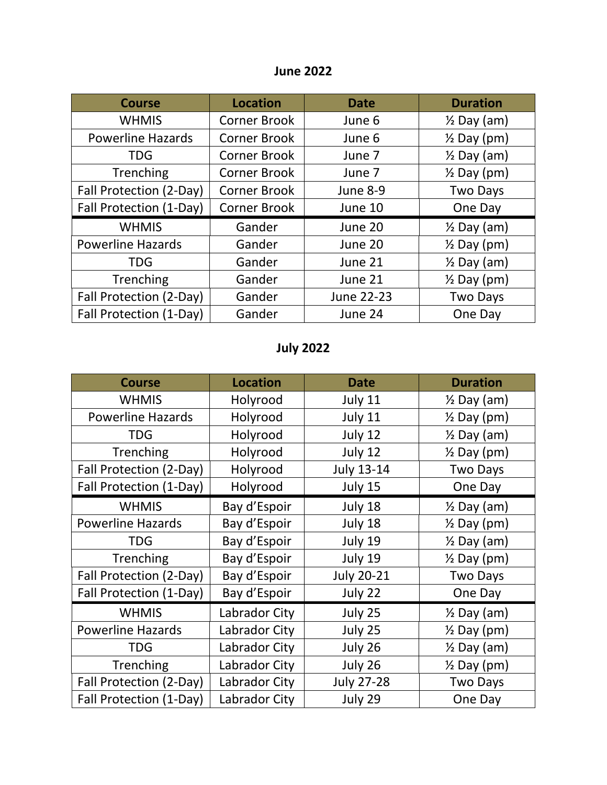### **June 2022**

| <b>Course</b>            | <b>Location</b>     | <b>Date</b> | <b>Duration</b>        |
|--------------------------|---------------------|-------------|------------------------|
| <b>WHMIS</b>             | <b>Corner Brook</b> | June 6      | $\frac{1}{2}$ Day (am) |
| <b>Powerline Hazards</b> | <b>Corner Brook</b> | June 6      | $\frac{1}{2}$ Day (pm) |
| <b>TDG</b>               | <b>Corner Brook</b> | June 7      | $\frac{1}{2}$ Day (am) |
| Trenching                | <b>Corner Brook</b> | June 7      | $\frac{1}{2}$ Day (pm) |
| Fall Protection (2-Day)  | <b>Corner Brook</b> | June 8-9    | <b>Two Days</b>        |
| Fall Protection (1-Day)  | Corner Brook        | June 10     | One Day                |
| <b>WHMIS</b>             | Gander              | June 20     | $\frac{1}{2}$ Day (am) |
| <b>Powerline Hazards</b> | Gander              | June 20     | $\frac{1}{2}$ Day (pm) |
| <b>TDG</b>               | Gander              | June 21     | $\frac{1}{2}$ Day (am) |
| Trenching                | Gander              | June 21     | $\frac{1}{2}$ Day (pm) |
| Fall Protection (2-Day)  | Gander              | June 22-23  | <b>Two Days</b>        |
| Fall Protection (1-Day)  | Gander              | June 24     | One Day                |

# **July 2022**

| <b>Course</b>            | <b>Location</b> | <b>Date</b>       | <b>Duration</b>        |
|--------------------------|-----------------|-------------------|------------------------|
| <b>WHMIS</b>             | Holyrood        | July 11           | $\frac{1}{2}$ Day (am) |
| <b>Powerline Hazards</b> | Holyrood        | July 11           | $\frac{1}{2}$ Day (pm) |
| <b>TDG</b>               | Holyrood        | July 12           | $\frac{1}{2}$ Day (am) |
| Trenching                | Holyrood        | July 12           | $\frac{1}{2}$ Day (pm) |
| Fall Protection (2-Day)  | Holyrood        | <b>July 13-14</b> | <b>Two Days</b>        |
| Fall Protection (1-Day)  | Holyrood        | July 15           | One Day                |
| <b>WHMIS</b>             | Bay d'Espoir    | July 18           | $\frac{1}{2}$ Day (am) |
| <b>Powerline Hazards</b> | Bay d'Espoir    | July 18           | $\frac{1}{2}$ Day (pm) |
| <b>TDG</b>               | Bay d'Espoir    | July 19           | $\frac{1}{2}$ Day (am) |
| Trenching                | Bay d'Espoir    | July 19           | $\frac{1}{2}$ Day (pm) |
| Fall Protection (2-Day)  | Bay d'Espoir    | <b>July 20-21</b> | <b>Two Days</b>        |
| Fall Protection (1-Day)  | Bay d'Espoir    | July 22           | One Day                |
| <b>WHMIS</b>             | Labrador City   | July 25           | $\frac{1}{2}$ Day (am) |
| <b>Powerline Hazards</b> | Labrador City   | July 25           | $\frac{1}{2}$ Day (pm) |
| TDG                      | Labrador City   | July 26           | $\frac{1}{2}$ Day (am) |
| Trenching                | Labrador City   | July 26           | $\frac{1}{2}$ Day (pm) |
| Fall Protection (2-Day)  | Labrador City   | <b>July 27-28</b> | <b>Two Days</b>        |
| Fall Protection (1-Day)  | Labrador City   | July 29           | One Day                |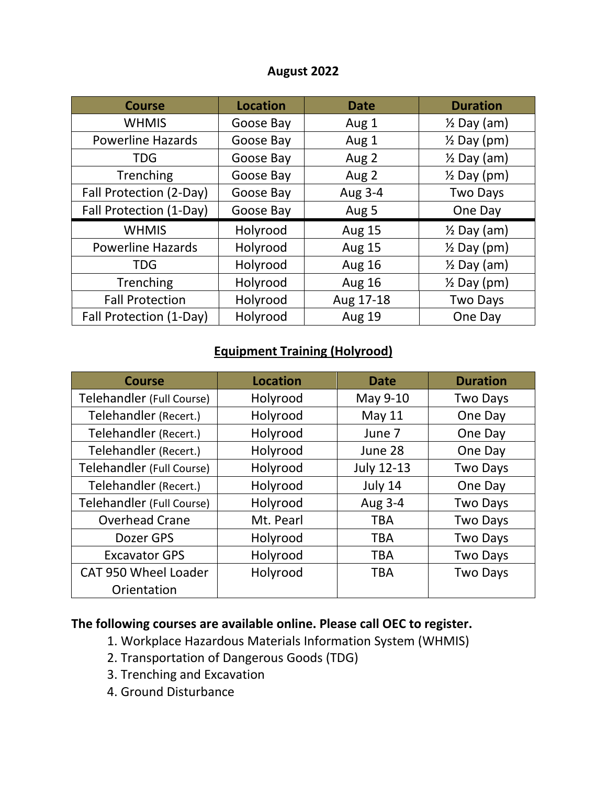#### **August 2022**

| <b>Course</b>            | <b>Location</b> | <b>Date</b>   | <b>Duration</b>        |
|--------------------------|-----------------|---------------|------------------------|
| <b>WHMIS</b>             | Goose Bay       | Aug 1         | $\frac{1}{2}$ Day (am) |
| <b>Powerline Hazards</b> | Goose Bay       | Aug 1         | $\frac{1}{2}$ Day (pm) |
| <b>TDG</b>               | Goose Bay       | Aug 2         | $\frac{1}{2}$ Day (am) |
| Trenching                | Goose Bay       | Aug 2         | $\frac{1}{2}$ Day (pm) |
| Fall Protection (2-Day)  | Goose Bay       | Aug 3-4       | <b>Two Days</b>        |
| Fall Protection (1-Day)  | Goose Bay       | Aug 5         | One Day                |
| <b>WHMIS</b>             | Holyrood        | <b>Aug 15</b> | $\frac{1}{2}$ Day (am) |
| <b>Powerline Hazards</b> | Holyrood        | <b>Aug 15</b> | $\frac{1}{2}$ Day (pm) |
| <b>TDG</b>               | Holyrood        | <b>Aug 16</b> | $\frac{1}{2}$ Day (am) |
| Trenching                | Holyrood        | <b>Aug 16</b> | $\frac{1}{2}$ Day (pm) |
| <b>Fall Protection</b>   | Holyrood        | Aug 17-18     | <b>Two Days</b>        |
| Fall Protection (1-Day)  | Holyrood        | <b>Aug 19</b> | One Day                |

### **Equipment Training (Holyrood)**

| <b>Course</b>             | <b>Location</b> | <b>Date</b>       | <b>Duration</b> |
|---------------------------|-----------------|-------------------|-----------------|
| Telehandler (Full Course) | Holyrood        | May 9-10          | <b>Two Days</b> |
| Telehandler (Recert.)     | Holyrood        | <b>May 11</b>     | One Day         |
| Telehandler (Recert.)     | Holyrood        | June 7            | One Day         |
| Telehandler (Recert.)     | Holyrood        | June 28           | One Day         |
| Telehandler (Full Course) | Holyrood        | <b>July 12-13</b> | <b>Two Days</b> |
| Telehandler (Recert.)     | Holyrood        | July 14           | One Day         |
| Telehandler (Full Course) | Holyrood        | Aug 3-4           | <b>Two Days</b> |
| <b>Overhead Crane</b>     | Mt. Pearl       | <b>TBA</b>        | <b>Two Days</b> |
| Dozer GPS                 | Holyrood        | <b>TBA</b>        | <b>Two Days</b> |
| <b>Excavator GPS</b>      | Holyrood        | <b>TBA</b>        | <b>Two Days</b> |
| CAT 950 Wheel Loader      | Holyrood        | <b>TBA</b>        | <b>Two Days</b> |
| Orientation               |                 |                   |                 |

## **The following courses are available online. Please call OEC to register.**

- 1. Workplace Hazardous Materials Information System (WHMIS)
- 2. Transportation of Dangerous Goods (TDG)
- 3. Trenching and Excavation
- 4. Ground Disturbance